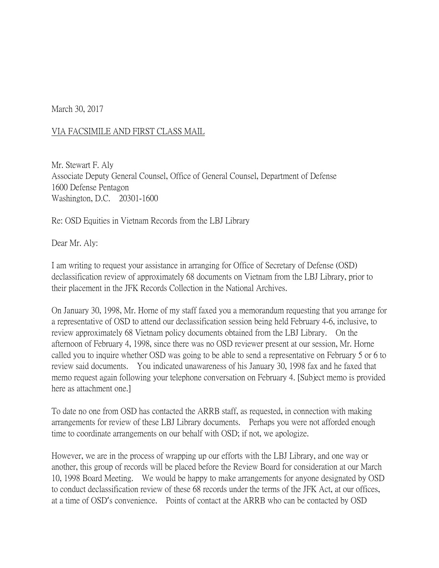March 30, 2017

## VIA FACSIMILE AND FIRST CLASS MAIL

Mr. Stewart F. Aly Associate Deputy General Counsel, Office of General Counsel, Department of Defense 1600 Defense Pentagon Washington, D.C. 20301-1600

Re: OSD Equities in Vietnam Records from the LBJ Library

Dear Mr. Aly:

I am writing to request your assistance in arranging for Office of Secretary of Defense (OSD) declassification review of approximately 68 documents on Vietnam from the LBJ Library, prior to their placement in the JFK Records Collection in the National Archives.

On January 30, 1998, Mr. Horne of my staff faxed you a memorandum requesting that you arrange for a representative of OSD to attend our declassification session being held February 4-6, inclusive, to review approximately 68 Vietnam policy documents obtained from the LBJ Library. On the afternoon of February 4, 1998, since there was no OSD reviewer present at our session, Mr. Horne called you to inquire whether OSD was going to be able to send a representative on February 5 or 6 to review said documents. You indicated unawareness of his January 30, 1998 fax and he faxed that memo request again following your telephone conversation on February 4. [Subject memo is provided here as attachment one.]

To date no one from OSD has contacted the ARRB staff, as requested, in connection with making arrangements for review of these LBJ Library documents. Perhaps you were not afforded enough time to coordinate arrangements on our behalf with OSD; if not, we apologize.

However, we are in the process of wrapping up our efforts with the LBJ Library, and one way or another, this group of records will be placed before the Review Board for consideration at our March 10, 1998 Board Meeting. We would be happy to make arrangements for anyone designated by OSD to conduct declassification review of these 68 records under the terms of the JFK Act, at our offices, at a time of OSD's convenience. Points of contact at the ARRB who can be contacted by OSD